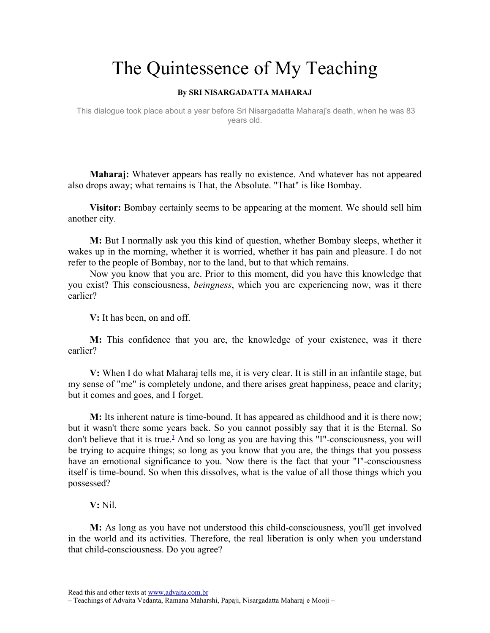## The Quintessence of My Teaching

## By SRI NISARGADATTA MAHARAJ

 This dialogue took place about a year before Sri Nisargadatta Maharaj's death, when he was 83 years old.

Maharaj: Whatever appears has really no existence. And whatever has not appeared also drops away; what remains is That, the Absolute. "That" is like Bombay.

Visitor: Bombay certainly seems to be appearing at the moment. We should sell him another city.

M: But I normally ask you this kind of question, whether Bombay sleeps, whether it wakes up in the morning, whether it is worried, whether it has pain and pleasure. I do not refer to the people of Bombay, nor to the land, but to that which remains.

Now you know that you are. Prior to this moment, did you have this knowledge that you exist? This consciousness, beingness, which you are experiencing now, was it there earlier?

V: It has been, on and off.

M: This confidence that you are, the knowledge of your existence, was it there earlier?

V: When I do what Maharaj tells me, it is very clear. It is still in an infantile stage, but my sense of "me" is completely undone, and there arises great happiness, peace and clarity; but it comes and goes, and I forget.

M: Its inherent nature is time-bound. It has appeared as childhood and it is there now; but it wasn't there some years back. So you cannot possibly say that it is the Eternal. So don't believe that it is true.<sup>1</sup> And so long as you are having this "I"-consciousness, you will be trying to acquire things; so long as you know that you are, the things that you possess have an emotional significance to you. Now there is the fact that your "I"-consciousness itself is time-bound. So when this dissolves, what is the value of all those things which you possessed?

V: Nil.

M: As long as you have not understood this child-consciousness, you'll get involved in the world and its activities. Therefore, the real liberation is only when you understand that child-consciousness. Do you agree?

Read this and other texts at www.advaita.com.br

<sup>–</sup> Teachings of Advaita Vedanta, Ramana Maharshi, Papaji, Nisargadatta Maharaj e Mooji –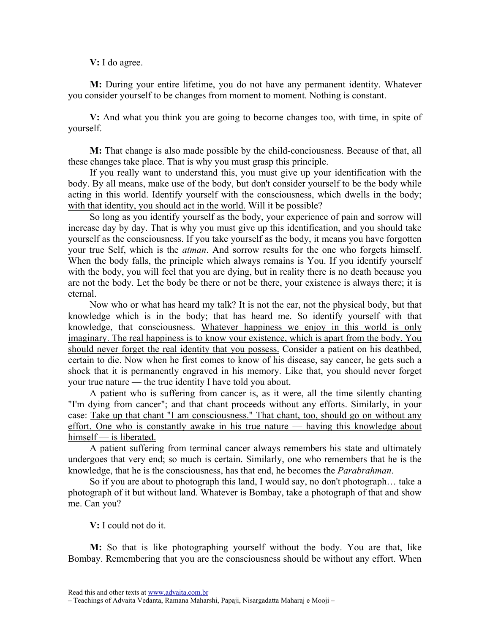V: I do agree.

M: During your entire lifetime, you do not have any permanent identity. Whatever you consider yourself to be changes from moment to moment. Nothing is constant.

V: And what you think you are going to become changes too, with time, in spite of yourself.

M: That change is also made possible by the child-conciousness. Because of that, all these changes take place. That is why you must grasp this principle.

If you really want to understand this, you must give up your identification with the body. By all means, make use of the body, but don't consider yourself to be the body while acting in this world. Identify yourself with the consciousness, which dwells in the body; with that identity, you should act in the world. Will it be possible?

So long as you identify yourself as the body, your experience of pain and sorrow will increase day by day. That is why you must give up this identification, and you should take yourself as the consciousness. If you take yourself as the body, it means you have forgotten your true Self, which is the atman. And sorrow results for the one who forgets himself. When the body falls, the principle which always remains is You. If you identify yourself with the body, you will feel that you are dying, but in reality there is no death because you are not the body. Let the body be there or not be there, your existence is always there; it is eternal.

Now who or what has heard my talk? It is not the ear, not the physical body, but that knowledge which is in the body; that has heard me. So identify yourself with that knowledge, that consciousness. Whatever happiness we enjoy in this world is only imaginary. The real happiness is to know your existence, which is apart from the body. You should never forget the real identity that you possess. Consider a patient on his deathbed, certain to die. Now when he first comes to know of his disease, say cancer, he gets such a shock that it is permanently engraved in his memory. Like that, you should never forget your true nature — the true identity I have told you about.

A patient who is suffering from cancer is, as it were, all the time silently chanting "I'm dying from cancer"; and that chant proceeds without any efforts. Similarly, in your case: Take up that chant "I am consciousness." That chant, too, should go on without any effort. One who is constantly awake in his true nature — having this knowledge about himself — is liberated.

A patient suffering from terminal cancer always remembers his state and ultimately undergoes that very end; so much is certain. Similarly, one who remembers that he is the knowledge, that he is the consciousness, has that end, he becomes the Parabrahman.

So if you are about to photograph this land, I would say, no don't photograph… take a photograph of it but without land. Whatever is Bombay, take a photograph of that and show me. Can you?

V: I could not do it.

M: So that is like photographing yourself without the body. You are that, like Bombay. Remembering that you are the consciousness should be without any effort. When

<sup>–</sup> Teachings of Advaita Vedanta, Ramana Maharshi, Papaji, Nisargadatta Maharaj e Mooji –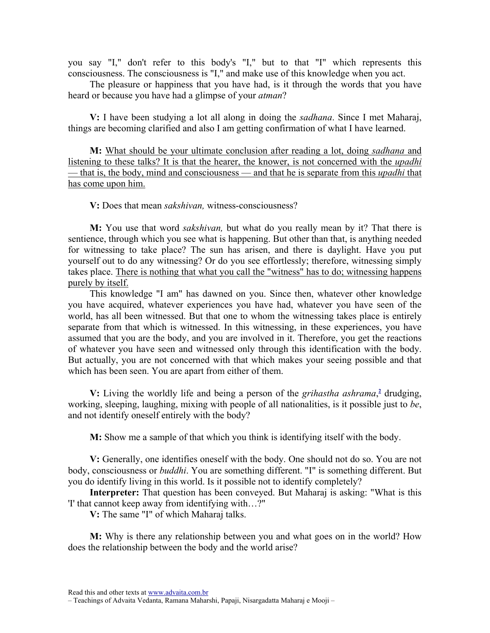you say "I," don't refer to this body's "I," but to that "I" which represents this consciousness. The consciousness is "I," and make use of this knowledge when you act.

The pleasure or happiness that you have had, is it through the words that you have heard or because you have had a glimpse of your atman?

V: I have been studying a lot all along in doing the sadhana. Since I met Maharaj, things are becoming clarified and also I am getting confirmation of what I have learned.

M: What should be your ultimate conclusion after reading a lot, doing *sadhana* and listening to these talks? It is that the hearer, the knower, is not concerned with the upadhi — that is, the body, mind and consciousness — and that he is separate from this *upadhi* that has come upon him.

V: Does that mean sakshivan, witness-consciousness?

**M:** You use that word *sakshivan*, but what do you really mean by it? That there is sentience, through which you see what is happening. But other than that, is anything needed for witnessing to take place? The sun has arisen, and there is daylight. Have you put yourself out to do any witnessing? Or do you see effortlessly; therefore, witnessing simply takes place. There is nothing that what you call the "witness" has to do; witnessing happens purely by itself.

This knowledge "I am" has dawned on you. Since then, whatever other knowledge you have acquired, whatever experiences you have had, whatever you have seen of the world, has all been witnessed. But that one to whom the witnessing takes place is entirely separate from that which is witnessed. In this witnessing, in these experiences, you have assumed that you are the body, and you are involved in it. Therefore, you get the reactions of whatever you have seen and witnessed only through this identification with the body. But actually, you are not concerned with that which makes your seeing possible and that which has been seen. You are apart from either of them.

V: Living the worldly life and being a person of the *grihastha ashrama*,<sup>2</sup> drudging, working, sleeping, laughing, mixing with people of all nationalities, is it possible just to be, and not identify oneself entirely with the body?

M: Show me a sample of that which you think is identifying itself with the body.

V: Generally, one identifies oneself with the body. One should not do so. You are not body, consciousness or buddhi. You are something different. "I" is something different. But you do identify living in this world. Is it possible not to identify completely?

Interpreter: That question has been conveyed. But Maharaj is asking: "What is this 'I' that cannot keep away from identifying with…?"

V: The same "I" of which Maharaj talks.

M: Why is there any relationship between you and what goes on in the world? How does the relationship between the body and the world arise?

<sup>–</sup> Teachings of Advaita Vedanta, Ramana Maharshi, Papaji, Nisargadatta Maharaj e Mooji –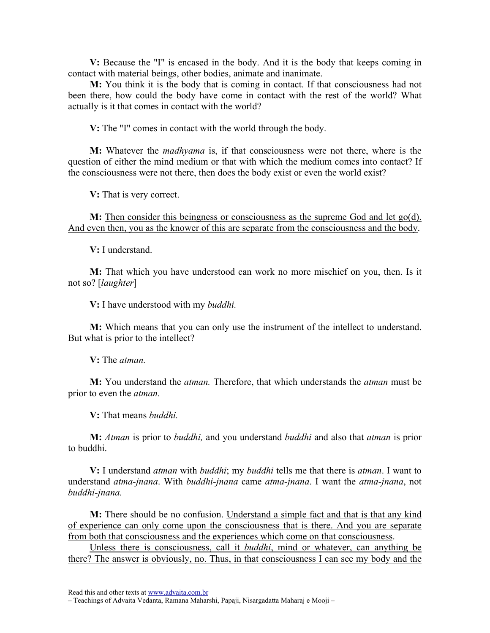V: Because the "I" is encased in the body. And it is the body that keeps coming in contact with material beings, other bodies, animate and inanimate.

M: You think it is the body that is coming in contact. If that consciousness had not been there, how could the body have come in contact with the rest of the world? What actually is it that comes in contact with the world?

V: The "I" comes in contact with the world through the body.

**M:** Whatever the *madhyama* is, if that consciousness were not there, where is the question of either the mind medium or that with which the medium comes into contact? If the consciousness were not there, then does the body exist or even the world exist?

V: That is very correct.

**M:** Then consider this beingness or consciousness as the supreme God and let  $\text{go}(d)$ . And even then, you as the knower of this are separate from the consciousness and the body.

V: I understand.

M: That which you have understood can work no more mischief on you, then. Is it not so? [laughter]

V: I have understood with my buddhi.

M: Which means that you can only use the instrument of the intellect to understand. But what is prior to the intellect?

V: The atman.

M: You understand the *atman*. Therefore, that which understands the *atman* must be prior to even the atman.

V: That means buddhi.

**M:** Atman is prior to *buddhi*, and you understand *buddhi* and also that *atman* is prior to buddhi.

V: I understand *atman* with *buddhi*; my *buddhi* tells me that there is *atman*. I want to understand *atma-jnana*. With *buddhi-jnana* came *atma-jnana*. I want the *atma-jnana*, not buddhi-jnana.

M: There should be no confusion. Understand a simple fact and that is that any kind of experience can only come upon the consciousness that is there. And you are separate from both that consciousness and the experiences which come on that consciousness.

Unless there is consciousness, call it *buddhi*, mind or whatever, can anything be there? The answer is obviously, no. Thus, in that consciousness I can see my body and the

Read this and other texts at www.advaita.com.br

<sup>–</sup> Teachings of Advaita Vedanta, Ramana Maharshi, Papaji, Nisargadatta Maharaj e Mooji –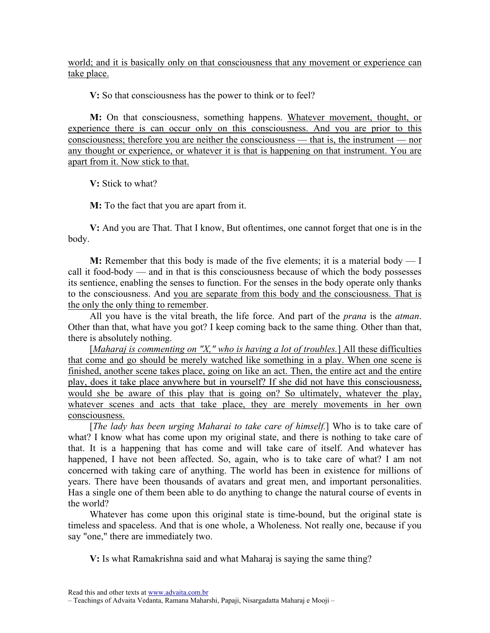world; and it is basically only on that consciousness that any movement or experience can take place.

V: So that consciousness has the power to think or to feel?

M: On that consciousness, something happens. Whatever movement, thought, or experience there is can occur only on this consciousness. And you are prior to this consciousness; therefore you are neither the consciousness — that is, the instrument — nor any thought or experience, or whatever it is that is happening on that instrument. You are apart from it. Now stick to that.

V: Stick to what?

M: To the fact that you are apart from it.

V: And you are That. That I know, But oftentimes, one cannot forget that one is in the body.

**M:** Remember that this body is made of the five elements; it is a material body  $- I$ call it food-body — and in that is this consciousness because of which the body possesses its sentience, enabling the senses to function. For the senses in the body operate only thanks to the consciousness. And you are separate from this body and the consciousness. That is the only the only thing to remember.

All you have is the vital breath, the life force. And part of the *prana* is the *atman*. Other than that, what have you got? I keep coming back to the same thing. Other than that, there is absolutely nothing.

[Maharaj is commenting on "X," who is having a lot of troubles.] All these difficulties that come and go should be merely watched like something in a play. When one scene is finished, another scene takes place, going on like an act. Then, the entire act and the entire play, does it take place anywhere but in yourself? If she did not have this consciousness, would she be aware of this play that is going on? So ultimately, whatever the play, whatever scenes and acts that take place, they are merely movements in her own consciousness.

[The lady has been urging Maharai to take care of himself.] Who is to take care of what? I know what has come upon my original state, and there is nothing to take care of that. It is a happening that has come and will take care of itself. And whatever has happened, I have not been affected. So, again, who is to take care of what? I am not concerned with taking care of anything. The world has been in existence for millions of years. There have been thousands of avatars and great men, and important personalities. Has a single one of them been able to do anything to change the natural course of events in the world?

Whatever has come upon this original state is time-bound, but the original state is timeless and spaceless. And that is one whole, a Wholeness. Not really one, because if you say "one," there are immediately two.

V: Is what Ramakrishna said and what Maharaj is saying the same thing?

<sup>–</sup> Teachings of Advaita Vedanta, Ramana Maharshi, Papaji, Nisargadatta Maharaj e Mooji –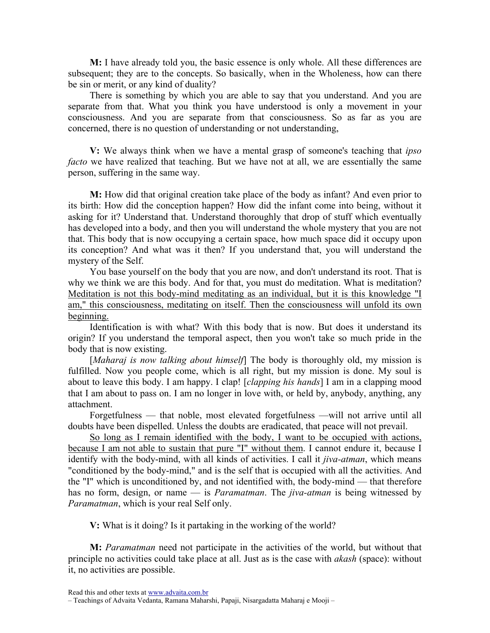M: I have already told you, the basic essence is only whole. All these differences are subsequent; they are to the concepts. So basically, when in the Wholeness, how can there be sin or merit, or any kind of duality?

There is something by which you are able to say that you understand. And you are separate from that. What you think you have understood is only a movement in your consciousness. And you are separate from that consciousness. So as far as you are concerned, there is no question of understanding or not understanding,

V: We always think when we have a mental grasp of someone's teaching that *ipso* facto we have realized that teaching. But we have not at all, we are essentially the same person, suffering in the same way.

M: How did that original creation take place of the body as infant? And even prior to its birth: How did the conception happen? How did the infant come into being, without it asking for it? Understand that. Understand thoroughly that drop of stuff which eventually has developed into a body, and then you will understand the whole mystery that you are not that. This body that is now occupying a certain space, how much space did it occupy upon its conception? And what was it then? If you understand that, you will understand the mystery of the Self.

You base yourself on the body that you are now, and don't understand its root. That is why we think we are this body. And for that, you must do meditation. What is meditation? Meditation is not this body-mind meditating as an individual, but it is this knowledge "I am," this consciousness, meditating on itself. Then the consciousness will unfold its own beginning.

Identification is with what? With this body that is now. But does it understand its origin? If you understand the temporal aspect, then you won't take so much pride in the body that is now existing.

[Maharaj is now talking about himself] The body is thoroughly old, my mission is fulfilled. Now you people come, which is all right, but my mission is done. My soul is about to leave this body. I am happy. I clap! [*clapping his hands*] I am in a clapping mood that I am about to pass on. I am no longer in love with, or held by, anybody, anything, any attachment.

Forgetfulness — that noble, most elevated forgetfulness —will not arrive until all doubts have been dispelled. Unless the doubts are eradicated, that peace will not prevail.

So long as I remain identified with the body, I want to be occupied with actions, because I am not able to sustain that pure "I" without them. I cannot endure it, because I identify with the body-mind, with all kinds of activities. I call it *jiva-atman*, which means "conditioned by the body-mind," and is the self that is occupied with all the activities. And the "I" which is unconditioned by, and not identified with, the body-mind — that therefore has no form, design, or name — is *Paramatman*. The *jiva-atman* is being witnessed by Paramatman, which is your real Self only.

V: What is it doing? Is it partaking in the working of the world?

M: Paramatman need not participate in the activities of the world, but without that principle no activities could take place at all. Just as is the case with *akash* (space): without it, no activities are possible.

Read this and other texts at www.advaita.com.br

<sup>–</sup> Teachings of Advaita Vedanta, Ramana Maharshi, Papaji, Nisargadatta Maharaj e Mooji –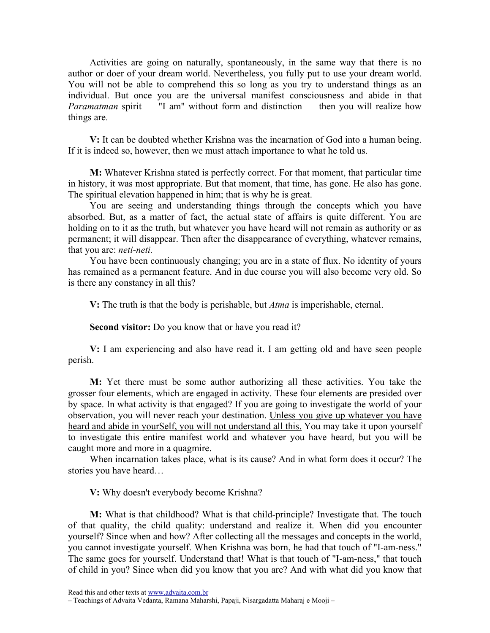Activities are going on naturally, spontaneously, in the same way that there is no author or doer of your dream world. Nevertheless, you fully put to use your dream world. You will not be able to comprehend this so long as you try to understand things as an individual. But once you are the universal manifest consciousness and abide in that Paramatman spirit — "I am" without form and distinction — then you will realize how things are.

V: It can be doubted whether Krishna was the incarnation of God into a human being. If it is indeed so, however, then we must attach importance to what he told us.

M: Whatever Krishna stated is perfectly correct. For that moment, that particular time in history, it was most appropriate. But that moment, that time, has gone. He also has gone. The spiritual elevation happened in him; that is why he is great.

You are seeing and understanding things through the concepts which you have absorbed. But, as a matter of fact, the actual state of affairs is quite different. You are holding on to it as the truth, but whatever you have heard will not remain as authority or as permanent; it will disappear. Then after the disappearance of everything, whatever remains, that you are: neti-neti.

You have been continuously changing; you are in a state of flux. No identity of yours has remained as a permanent feature. And in due course you will also become very old. So is there any constancy in all this?

V: The truth is that the body is perishable, but Atma is imperishable, eternal.

Second visitor: Do you know that or have you read it?

V: I am experiencing and also have read it. I am getting old and have seen people perish.

M: Yet there must be some author authorizing all these activities. You take the grosser four elements, which are engaged in activity. These four elements are presided over by space. In what activity is that engaged? If you are going to investigate the world of your observation, you will never reach your destination. Unless you give up whatever you have heard and abide in yourSelf, you will not understand all this. You may take it upon yourself to investigate this entire manifest world and whatever you have heard, but you will be caught more and more in a quagmire.

When incarnation takes place, what is its cause? And in what form does it occur? The stories you have heard…

V: Why doesn't everybody become Krishna?

M: What is that childhood? What is that child-principle? Investigate that. The touch of that quality, the child quality: understand and realize it. When did you encounter yourself? Since when and how? After collecting all the messages and concepts in the world, you cannot investigate yourself. When Krishna was born, he had that touch of "I-am-ness." The same goes for yourself. Understand that! What is that touch of "I-am-ness," that touch of child in you? Since when did you know that you are? And with what did you know that

Read this and other texts at www.advaita.com.br

<sup>–</sup> Teachings of Advaita Vedanta, Ramana Maharshi, Papaji, Nisargadatta Maharaj e Mooji –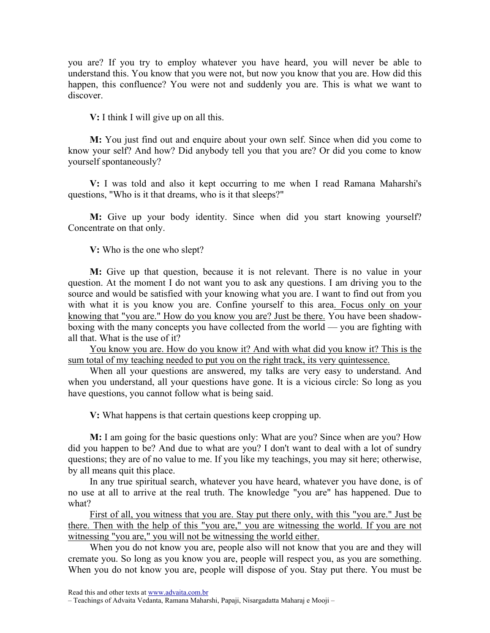you are? If you try to employ whatever you have heard, you will never be able to understand this. You know that you were not, but now you know that you are. How did this happen, this confluence? You were not and suddenly you are. This is what we want to discover.

V: I think I will give up on all this.

M: You just find out and enquire about your own self. Since when did you come to know your self? And how? Did anybody tell you that you are? Or did you come to know yourself spontaneously?

V: I was told and also it kept occurring to me when I read Ramana Maharshi's questions, "Who is it that dreams, who is it that sleeps?"

M: Give up your body identity. Since when did you start knowing yourself? Concentrate on that only.

V: Who is the one who slept?

M: Give up that question, because it is not relevant. There is no value in your question. At the moment I do not want you to ask any questions. I am driving you to the source and would be satisfied with your knowing what you are. I want to find out from you with what it is you know you are. Confine yourself to this area. Focus only on your knowing that "you are." How do you know you are? Just be there. You have been shadowboxing with the many concepts you have collected from the world — you are fighting with all that. What is the use of it?

You know you are. How do you know it? And with what did you know it? This is the sum total of my teaching needed to put you on the right track, its very quintessence.

When all your questions are answered, my talks are very easy to understand. And when you understand, all your questions have gone. It is a vicious circle: So long as you have questions, you cannot follow what is being said.

V: What happens is that certain questions keep cropping up.

M: I am going for the basic questions only: What are you? Since when are you? How did you happen to be? And due to what are you? I don't want to deal with a lot of sundry questions; they are of no value to me. If you like my teachings, you may sit here; otherwise, by all means quit this place.

In any true spiritual search, whatever you have heard, whatever you have done, is of no use at all to arrive at the real truth. The knowledge "you are" has happened. Due to what?

First of all, you witness that you are. Stay put there only, with this "you are." Just be there. Then with the help of this "you are," you are witnessing the world. If you are not witnessing "you are," you will not be witnessing the world either.

When you do not know you are, people also will not know that you are and they will cremate you. So long as you know you are, people will respect you, as you are something. When you do not know you are, people will dispose of you. Stay put there. You must be

Read this and other texts at www.advaita.com.br

– Teachings of Advaita Vedanta, Ramana Maharshi, Papaji, Nisargadatta Maharaj e Mooji –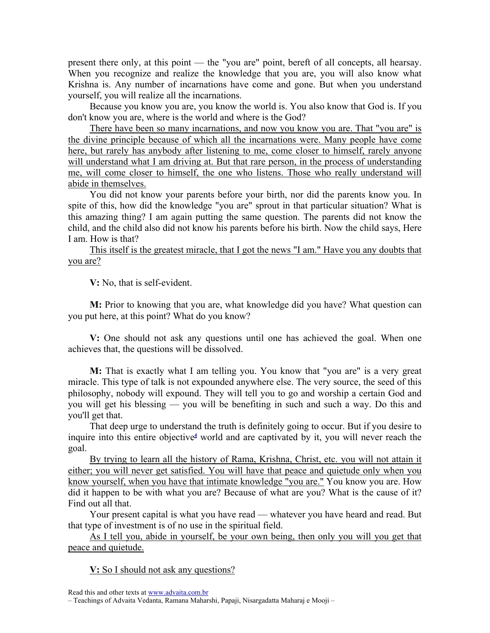present there only, at this point — the "you are" point, bereft of all concepts, all hearsay. When you recognize and realize the knowledge that you are, you will also know what Krishna is. Any number of incarnations have come and gone. But when you understand yourself, you will realize all the incarnations.

Because you know you are, you know the world is. You also know that God is. If you don't know you are, where is the world and where is the God?

There have been so many incarnations, and now you know you are. That "you are" is the divine principle because of which all the incarnations were. Many people have come here, but rarely has anybody after listening to me, come closer to himself, rarely anyone will understand what I am driving at. But that rare person, in the process of understanding me, will come closer to himself, the one who listens. Those who really understand will abide in themselves.

You did not know your parents before your birth, nor did the parents know you. In spite of this, how did the knowledge "you are" sprout in that particular situation? What is this amazing thing? I am again putting the same question. The parents did not know the child, and the child also did not know his parents before his birth. Now the child says, Here I am. How is that?

This itself is the greatest miracle, that I got the news "I am." Have you any doubts that you are?

V: No, that is self-evident.

M: Prior to knowing that you are, what knowledge did you have? What question can you put here, at this point? What do you know?

V: One should not ask any questions until one has achieved the goal. When one achieves that, the questions will be dissolved.

M: That is exactly what I am telling you. You know that "you are" is a very great miracle. This type of talk is not expounded anywhere else. The very source, the seed of this philosophy, nobody will expound. They will tell you to go and worship a certain God and you will get his blessing — you will be benefiting in such and such a way. Do this and you'll get that.

That deep urge to understand the truth is definitely going to occur. But if you desire to inquire into this entire objective<sup>4</sup> world and are captivated by it, you will never reach the goal.

By trying to learn all the history of Rama, Krishna, Christ, etc. you will not attain it either; you will never get satisfied. You will have that peace and quietude only when you know yourself, when you have that intimate knowledge "you are." You know you are. How did it happen to be with what you are? Because of what are you? What is the cause of it? Find out all that.

Your present capital is what you have read — whatever you have heard and read. But that type of investment is of no use in the spiritual field.

As I tell you, abide in yourself, be your own being, then only you will you get that peace and quietude.

V: So I should not ask any questions?

Read this and other texts at www.advaita.com.br

<sup>–</sup> Teachings of Advaita Vedanta, Ramana Maharshi, Papaji, Nisargadatta Maharaj e Mooji –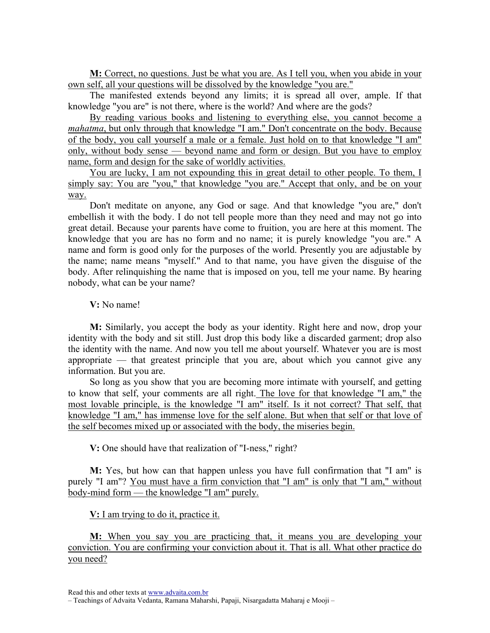M: Correct, no questions. Just be what you are. As I tell you, when you abide in your own self, all your questions will be dissolved by the knowledge "you are."

The manifested extends beyond any limits; it is spread all over, ample. If that knowledge "you are" is not there, where is the world? And where are the gods?

By reading various books and listening to everything else, you cannot become a mahatma, but only through that knowledge "I am." Don't concentrate on the body. Because of the body, you call yourself a male or a female. Just hold on to that knowledge "I am" only, without body sense — beyond name and form or design. But you have to employ name, form and design for the sake of worldly activities.

You are lucky, I am not expounding this in great detail to other people. To them, I simply say: You are "you," that knowledge "you are." Accept that only, and be on your way.

Don't meditate on anyone, any God or sage. And that knowledge "you are," don't embellish it with the body. I do not tell people more than they need and may not go into great detail. Because your parents have come to fruition, you are here at this moment. The knowledge that you are has no form and no name; it is purely knowledge "you are." A name and form is good only for the purposes of the world. Presently you are adjustable by the name; name means "myself." And to that name, you have given the disguise of the body. After relinquishing the name that is imposed on you, tell me your name. By hearing nobody, what can be your name?

V: No name!

M: Similarly, you accept the body as your identity. Right here and now, drop your identity with the body and sit still. Just drop this body like a discarded garment; drop also the identity with the name. And now you tell me about yourself. Whatever you are is most appropriate — that greatest principle that you are, about which you cannot give any information. But you are.

So long as you show that you are becoming more intimate with yourself, and getting to know that self, your comments are all right. The love for that knowledge "I am," the most lovable principle, is the knowledge "I am" itself. Is it not correct? That self, that knowledge "I am," has immense love for the self alone. But when that self or that love of the self becomes mixed up or associated with the body, the miseries begin.

V: One should have that realization of "I-ness," right?

M: Yes, but how can that happen unless you have full confirmation that "I am" is purely "I am"? You must have a firm conviction that "I am" is only that "I am," without body-mind form — the knowledge "I am" purely.

## V: I am trying to do it, practice it.

M: When you say you are practicing that, it means you are developing your conviction. You are confirming your conviction about it. That is all. What other practice do you need?

Read this and other texts at www.advaita.com.br

<sup>–</sup> Teachings of Advaita Vedanta, Ramana Maharshi, Papaji, Nisargadatta Maharaj e Mooji –